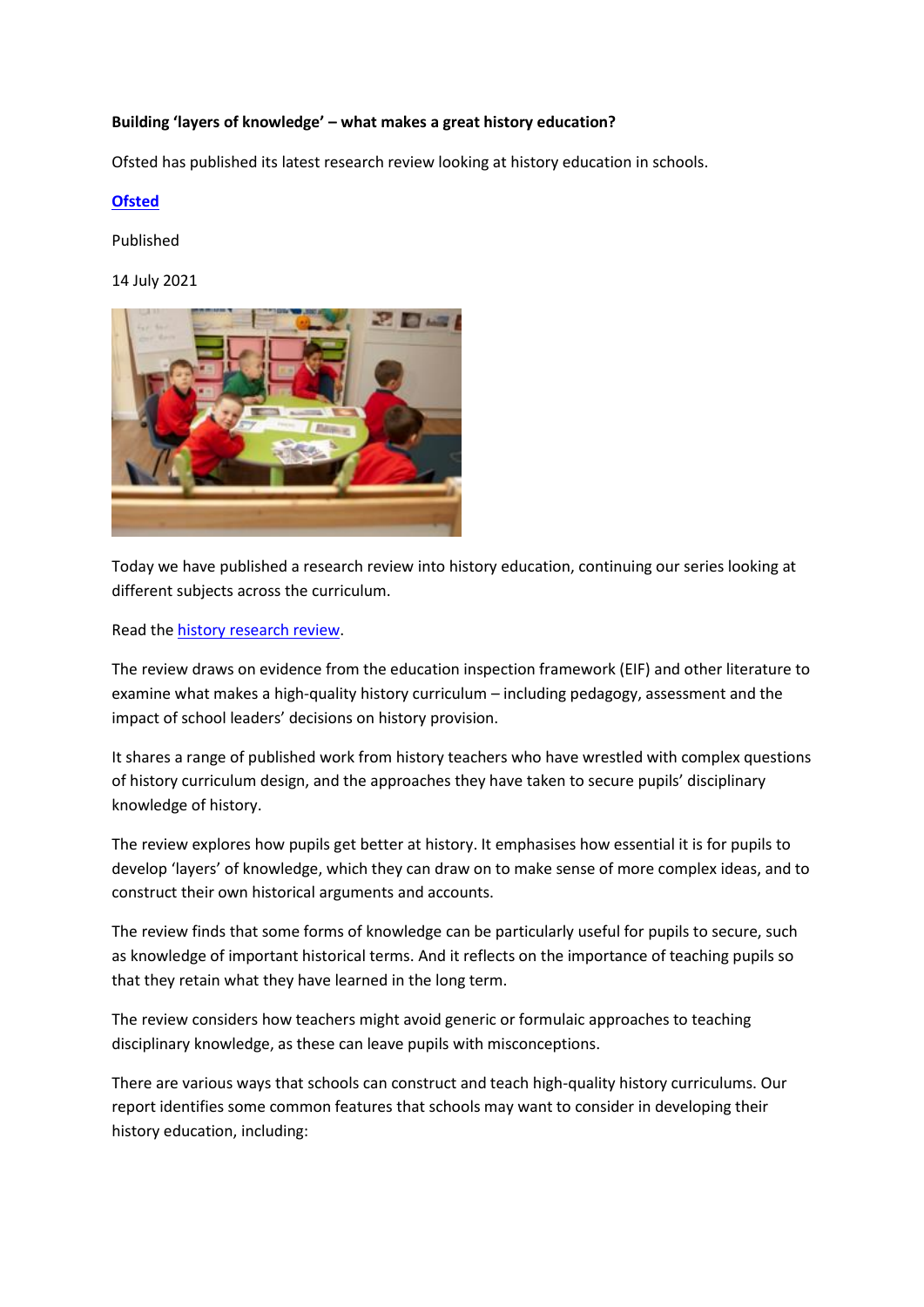## **Building 'layers of knowledge' – what makes a great history education?**

Ofsted has published its latest research review looking at history education in schools.

## **[Ofsted](https://www.gov.uk/government/organisations/ofsted)**

Published

14 July 2021



Today we have published a research review into history education, continuing our series looking at different subjects across the curriculum.

Read the [history research review.](https://www.gov.uk/government/publications/research-review-series-history)

The review draws on evidence from the education inspection framework (EIF) and other literature to examine what makes a high-quality history curriculum – including pedagogy, assessment and the impact of school leaders' decisions on history provision.

It shares a range of published work from history teachers who have wrestled with complex questions of history curriculum design, and the approaches they have taken to secure pupils' disciplinary knowledge of history.

The review explores how pupils get better at history. It emphasises how essential it is for pupils to develop 'layers' of knowledge, which they can draw on to make sense of more complex ideas, and to construct their own historical arguments and accounts.

The review finds that some forms of knowledge can be particularly useful for pupils to secure, such as knowledge of important historical terms. And it reflects on the importance of teaching pupils so that they retain what they have learned in the long term.

The review considers how teachers might avoid generic or formulaic approaches to teaching disciplinary knowledge, as these can leave pupils with misconceptions.

There are various ways that schools can construct and teach high-quality history curriculums. Our report identifies some common features that schools may want to consider in developing their history education, including: